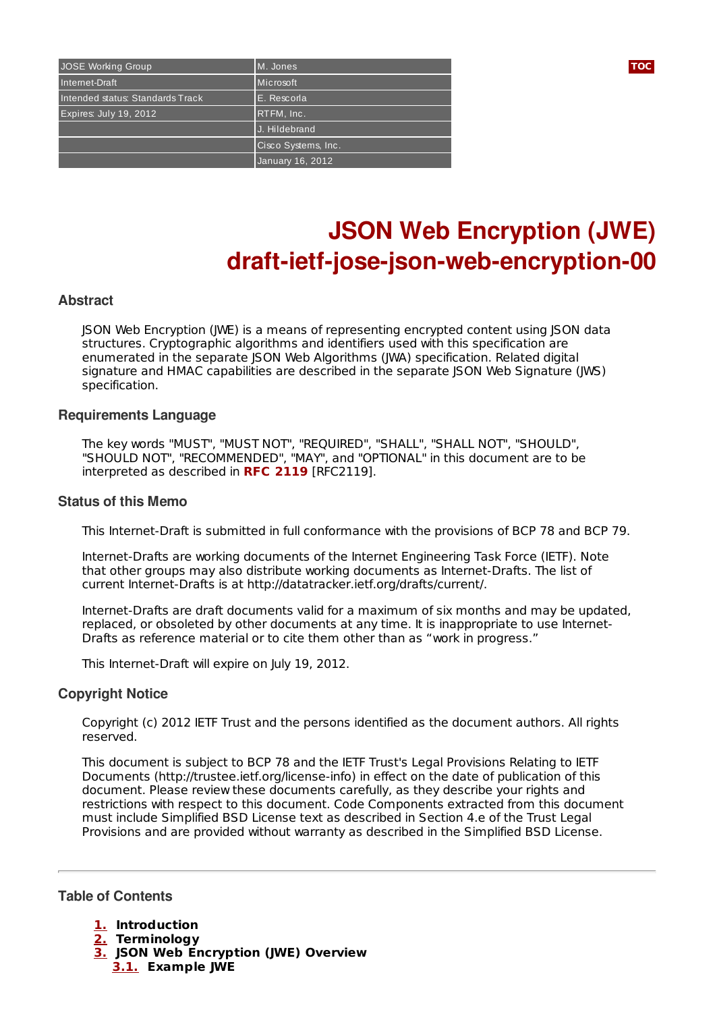| JOSE Working Group               | M. Jones            |
|----------------------------------|---------------------|
| Internet-Draft                   | Microsoft           |
| Intended status: Standards Track | E. Rescorla         |
| Expires: July 19, 2012           | $R$ TFM, $Inc.$     |
|                                  | J. Hildebrand       |
|                                  | Cisco Systems, Inc. |
|                                  | January 16, 2012    |

# **JSON Web Encryption (JWE) draft-ietf-jose-json-web-encryption-00**

#### **Abstract**

JSON Web Encryption (JWE) is a means of representing encrypted content using JSON data structures. Cryptographic algorithms and identifiers used with this specification are enumerated in the separate JSON Web Algorithms (JWA) specification. Related digital signature and HMAC capabilities are described in the separate JSON Web Signature (JWS) specification.

#### **Requirements Language**

The key words "MUST", "MUST NOT", "REQUIRED", "SHALL", "SHALL NOT", "SHOULD", "SHOULD NOT", "RECOMMENDED", "MAY", and "OPTIONAL" in this document are to be interpreted as described in RFC [2119](#page-8-0) [RFC2119].

#### **Status of this Memo**

This Internet-Draft is submitted in full conformance with the provisions of BCP 78 and BCP 79.

Internet-Drafts are working documents of the Internet Engineering Task Force (IETF). Note that other groups may also distribute working documents as Internet-Drafts. The list of current Internet-Drafts is at http://datatracker.ietf.org/drafts/current/.

Internet-Drafts are draft documents valid for a maximum of six months and may be updated, replaced, or obsoleted by other documents at any time. It is inappropriate to use Internet-Drafts as reference material or to cite them other than as "work in progress."

This Internet-Draft will expire on July 19, 2012.

#### **Copyright Notice**

Copyright (c) 2012 IETF Trust and the persons identified as the document authors. All rights reserved.

This document is subject to BCP 78 and the IETF Trust's Legal Provisions Relating to IETF Documents (http://trustee.ietf.org/license-info) in effect on the date of publication of this document. Please review these documents carefully, as they describe your rights and restrictions with respect to this document. Code Components extracted from this document must include Simplified BSD License text as described in Section 4.e of the Trust Legal Provisions and are provided without warranty as described in the Simplified BSD License.

<span id="page-0-0"></span>**Table of Contents**

- **[1.](#page-1-0) Introduction**
- **[2.](#page-1-1) Terminology**
- **[3.](#page-2-0) JSON Web Encryption (JWE) Overview [3.1.](#page-2-1) Example JWE**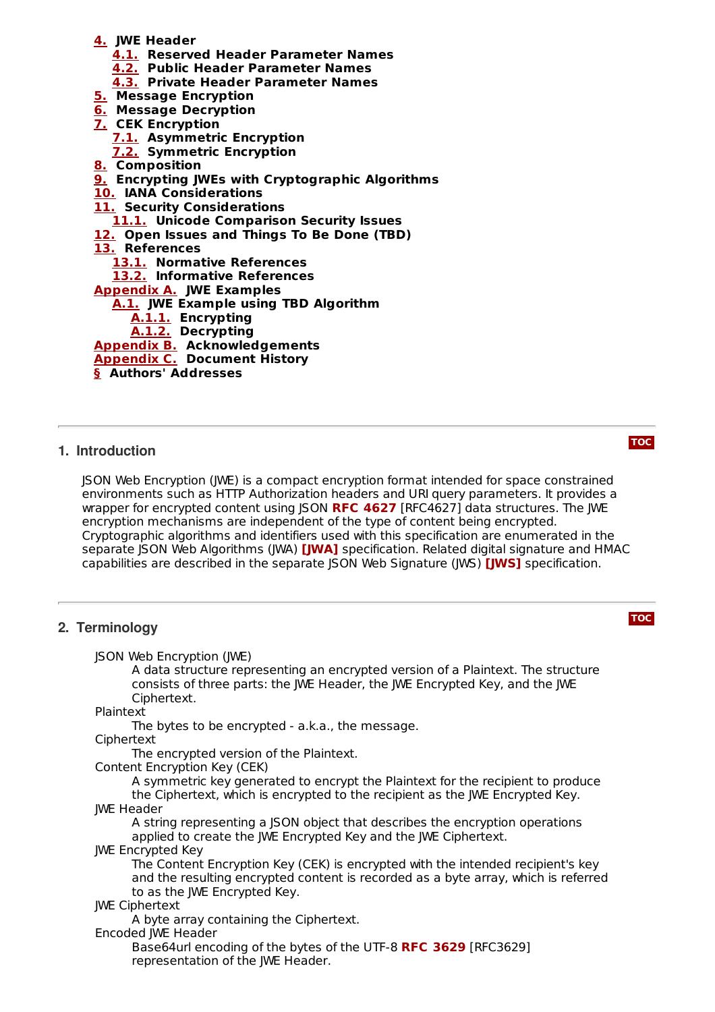- **[4.](#page-2-2) JWE Header**
	- **[4.1.](#page-3-0) Reserved Header Parameter Names**
	- **[4.2.](#page-4-0) Public Header Parameter Names**
	- **[4.3.](#page-4-1) Private Header Parameter Names**
- **[5.](#page-5-0) Message Encryption**
- **[6.](#page-5-1) Message Decryption**
- **[7.](#page-5-2) CEK Encryption**
	- **[7.1.](#page-5-3) Asymmetric Encryption**
	- **[7.2.](#page-6-0) Symmetric Encryption**
- **[8.](#page-6-1) Composition**
- **[9.](#page-6-2) Encrypting JWEs with Cryptographic Algorithms**
- **[10.](#page-6-3) IANA Considerations**
- **[11.](#page-6-4) Security Considerations**

**[11.1.](#page-7-0) Unicode Comparison Security Issues**

- **[12.](#page-7-1) Open Issues and Things To Be Done (TBD)**
- **[13.](#page-8-1) References**
	- **[13.1.](#page-8-1) Normative References**

**[13.2.](#page-8-2) Informative References**

**[Appendix](#page-8-3) A. JWE Examples**

**[A.1.](#page-8-4) JWE Example using TBD Algorithm**

- **[A.1.1.](#page-8-5) Encrypting**
- **[A.1.2.](#page-9-0) Decrypting**

**[Appendix](#page-9-1) B. Acknowledgements**

**[Appendix](#page-9-2) C. Document History**

<span id="page-1-0"></span>**[§](#page-9-3) Authors' Addresses**

#### **1. Introduction**

JSON Web Encryption (JWE) is a compact encryption format intended for space constrained environments such as HTTP Authorization headers and URI query parameters. It provides a wrapper for encrypted content using JSON RFC [4627](#page-8-6) [RFC4627] data structures. The JWE encryption mechanisms are independent of the type of content being encrypted. Cryptographic algorithms and identifiers used with this specification are enumerated in the separate JSON Web Algorithms (JWA) **[\[JWA\]](#page-8-7)** specification. Related digital signature and HMAC capabilities are described in the separate JSON Web Signature (JWS) [**JWS]** specification.

#### <span id="page-1-1"></span>**2. Terminology**

JSON Web Encryption (JWE)

A data structure representing an encrypted version of a Plaintext. The structure consists of three parts: the JWE Header, the JWE Encrypted Key, and the JWE Ciphertext.

Plaintext

The bytes to be encrypted - a.k.a., the message.

Ciphertext

The encrypted version of the Plaintext.

Content Encryption Key (CEK)

A symmetric key generated to encrypt the Plaintext for the recipient to produce the Ciphertext, which is encrypted to the recipient as the JWE Encrypted Key. JWE Header

A string representing a JSON object that describes the encryption operations applied to create the JWE Encrypted Key and the JWE Ciphertext.

JWE Encrypted Key

The Content Encryption Key (CEK) is encrypted with the intended recipient's key and the resulting encrypted content is recorded as a byte array, which is referred to as the JWE Encrypted Key.

#### JWE Ciphertext

A byte array containing the Ciphertext.

#### Encoded JWE Header

Base64url encoding of the bytes of the UTF-8 **RFC [3629](#page-8-9)** [RFC3629] representation of the JWE Header.

#### **[TOC](#page-0-0)**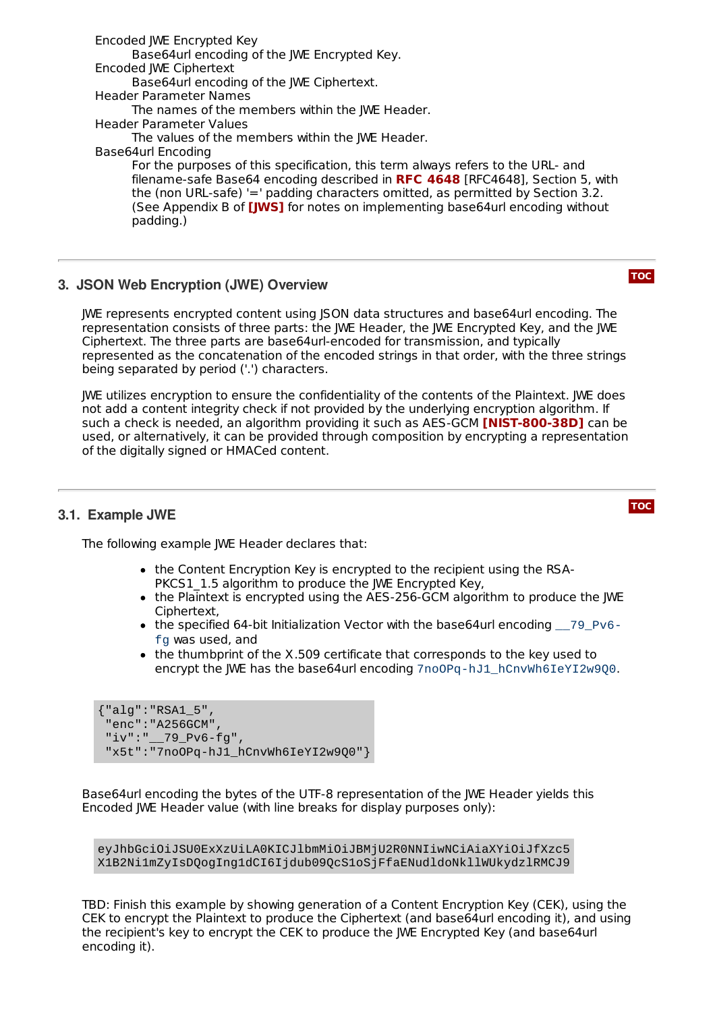Encoded JWE Encrypted Key Base64url encoding of the JWE Encrypted Key. Encoded JWE Ciphertext Base64url encoding of the JWE Ciphertext. Header Parameter Names The names of the members within the JWE Header. Header Parameter Values The values of the members within the JWE Header. Base64url Encoding For the purposes of this specification, this term always refers to the URL- and filename-safe Base64 encoding described in **RFC [4648](#page-8-10)** [RFC4648], Section 5, with the (non URL-safe) '=' padding characters omitted, as permitted by Section 3.2. (See Appendix B of **[\[JWS\]](#page-8-8)** for notes on implementing base64url encoding without padding.)

#### <span id="page-2-0"></span>**3. JSON Web Encryption (JWE) Overview**

JWE represents encrypted content using JSON data structures and base64url encoding. The representation consists of three parts: the JWE Header, the JWE Encrypted Key, and the JWE Ciphertext. The three parts are base64url-encoded for transmission, and typically represented as the concatenation of the encoded strings in that order, with the three strings being separated by period ('.') characters.

JWE utilizes encryption to ensure the confidentiality of the contents of the Plaintext. JWE does not add a content integrity check if not provided by the underlying encryption algorithm. If  $\boldsymbol{\delta}$  such a check is needed, an algorithm providing it such as <code>AES-GCM</code> [\[NIST](#page-8-11)-800-38D] can be used, or alternatively, it can be provided through composition by encrypting a representation of the digitally signed or HMACed content.

### <span id="page-2-1"></span>**3.1. Example JWE**

The following example JWE Header declares that:

- the Content Encryption Key is encrypted to the recipient using the RSA-PKCS1\_1.5 algorithm to produce the IWE Encrypted Key.
- the Plaintext is encrypted using the AES-256-GCM algorithm to produce the JWE Ciphertext,
- the specified 64-bit Initialization Vector with the base64url encoding \_\_79\_Pv6fg was used, and
- the thumbprint of the X.509 certificate that corresponds to the key used to encrypt the JWE has the base64url encoding 7noOPq-hJ1\_hCnvWh6IeYI2w900.

```
{"alg":"RSA1_5",
 "enc":"A256GCM",
"iv":"__79_Pv6-fg",
 "x5t":"7no0Pq-hJ1_hCnvWh6IeYI2w900"}
```
Base64url encoding the bytes of the UTF-8 representation of the JWE Header yields this Encoded JWE Header value (with line breaks for display purposes only):

eyJhbGciOiJSU0ExXzUiLA0KICJlbmMiOiJBMjU2R0NNIiwNCiAiaXYiOiJfXzc5 X1B2Ni1mZyIsDQogIng1dCI6Ijdub09QcS1oSjFfaENudldoNkllWUkydzlRMCJ9

<span id="page-2-2"></span>TBD: Finish this example by showing generation of a Content Encryption Key (CEK), using the CEK to encrypt the Plaintext to produce the Ciphertext (and base64url encoding it), and using the recipient's key to encrypt the CEK to produce the JWE Encrypted Key (and base64url encoding it).

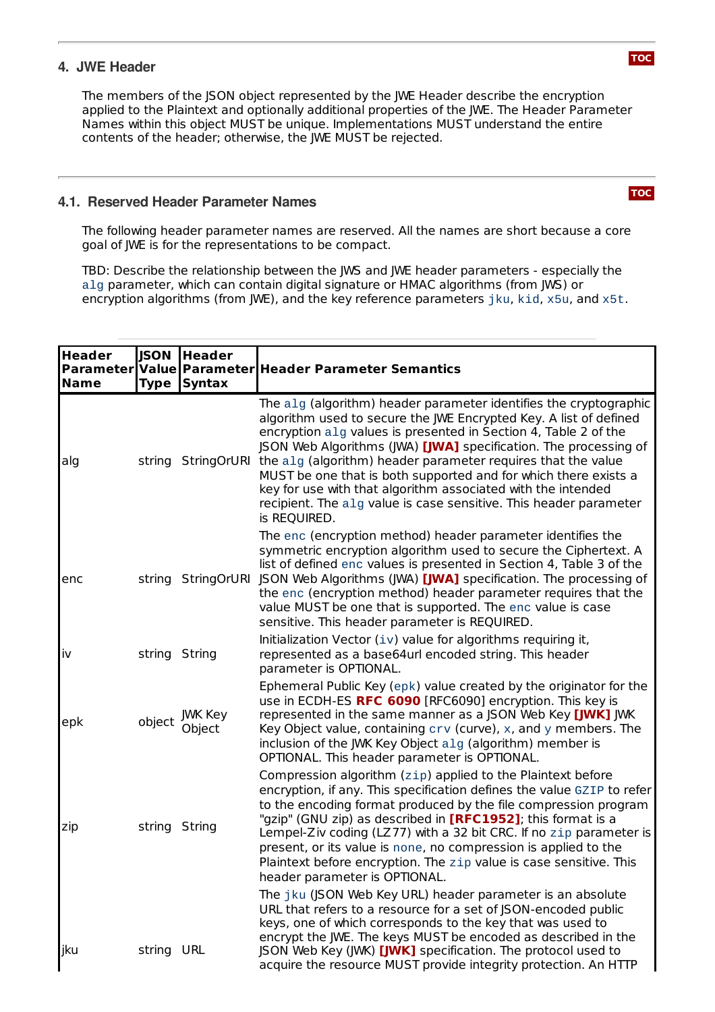#### **4. JWE Header**

The members of the JSON object represented by the JWE Header describe the encryption applied to the Plaintext and optionally additional properties of the JWE. The Header Parameter Names within this object MUST be unique. Implementations MUST understand the entire contents of the header; otherwise, the JWE MUST be rejected.

#### <span id="page-3-0"></span>**4.1. Reserved Header Parameter Names**

The following header parameter names are reserved. All the names are short because a core goal of JWE is for the representations to be compact.

TBD: Describe the relationship between the JWS and JWE header parameters - especially the alg parameter, which can contain digital signature or HMAC algorithms (from JWS) or encryption algorithms (from JWE), and the key reference parameters jku, kid, x5u, and x5t.

<span id="page-3-1"></span>

| <b>Header</b><br>Name | <b>JSON</b><br><b>Type</b> | <b>Header</b><br><b>Syntax</b> | Parameter Value Parameter Header Parameter Semantics                                                                                                                                                                                                                                                                                                                                                                                                                                                                                                                                     |
|-----------------------|----------------------------|--------------------------------|------------------------------------------------------------------------------------------------------------------------------------------------------------------------------------------------------------------------------------------------------------------------------------------------------------------------------------------------------------------------------------------------------------------------------------------------------------------------------------------------------------------------------------------------------------------------------------------|
| alg                   |                            |                                | The alg (algorithm) header parameter identifies the cryptographic<br>algorithm used to secure the JWE Encrypted Key. A list of defined<br>encryption alg values is presented in Section 4, Table 2 of the<br>JSON Web Algorithms (JWA) [JWA] specification. The processing of<br>string StringOrURI the alg (algorithm) header parameter requires that the value<br>MUST be one that is both supported and for which there exists a<br>key for use with that algorithm associated with the intended<br>recipient. The alg value is case sensitive. This header parameter<br>is REQUIRED. |
| enc                   |                            | string StringOrURI             | The enc (encryption method) header parameter identifies the<br>symmetric encryption algorithm used to secure the Ciphertext. A<br>list of defined enc values is presented in Section 4, Table 3 of the<br>JSON Web Algorithms (JWA) [JWA] specification. The processing of<br>the enc (encryption method) header parameter requires that the<br>value MUST be one that is supported. The enc value is case<br>sensitive. This header parameter is REQUIRED.                                                                                                                              |
| İv                    | string String              |                                | Initialization Vector (iv) value for algorithms requiring it,<br>represented as a base64url encoded string. This header<br>parameter is OPTIONAL.                                                                                                                                                                                                                                                                                                                                                                                                                                        |
| epk                   |                            | object JWK Key<br>Object       | Ephemeral Public Key (epk) value created by the originator for the<br>use in ECDH-ES RFC 6090 [RFC6090] encryption. This key is<br>represented in the same manner as a JSON Web Key [JWK] JWK<br>Key Object value, containing crv (curve), x, and y members. The<br>inclusion of the JWK Key Object alg (algorithm) member is<br>OPTIONAL. This header parameter is OPTIONAL.                                                                                                                                                                                                            |
| zip                   | string String              |                                | Compression algorithm (zip) applied to the Plaintext before<br>encryption, if any. This specification defines the value GZIP to refer<br>to the encoding format produced by the file compression program<br>"gzip" (GNU zip) as described in [RFC1952]; this format is a<br>Lempel-Ziv coding (LZ77) with a 32 bit CRC. If no zip parameter is<br>present, or its value is none, no compression is applied to the<br>Plaintext before encryption. The zip value is case sensitive. This<br>header parameter is OPTIONAL.                                                                 |
| jku                   | string URL                 |                                | The jku (JSON Web Key URL) header parameter is an absolute<br>URL that refers to a resource for a set of JSON-encoded public<br>keys, one of which corresponds to the key that was used to<br>encrypt the JWE. The keys MUST be encoded as described in the<br>JSON Web Key (JWK) [JWK] specification. The protocol used to<br>acquire the resource MUST provide integrity protection. An HTTP                                                                                                                                                                                           |

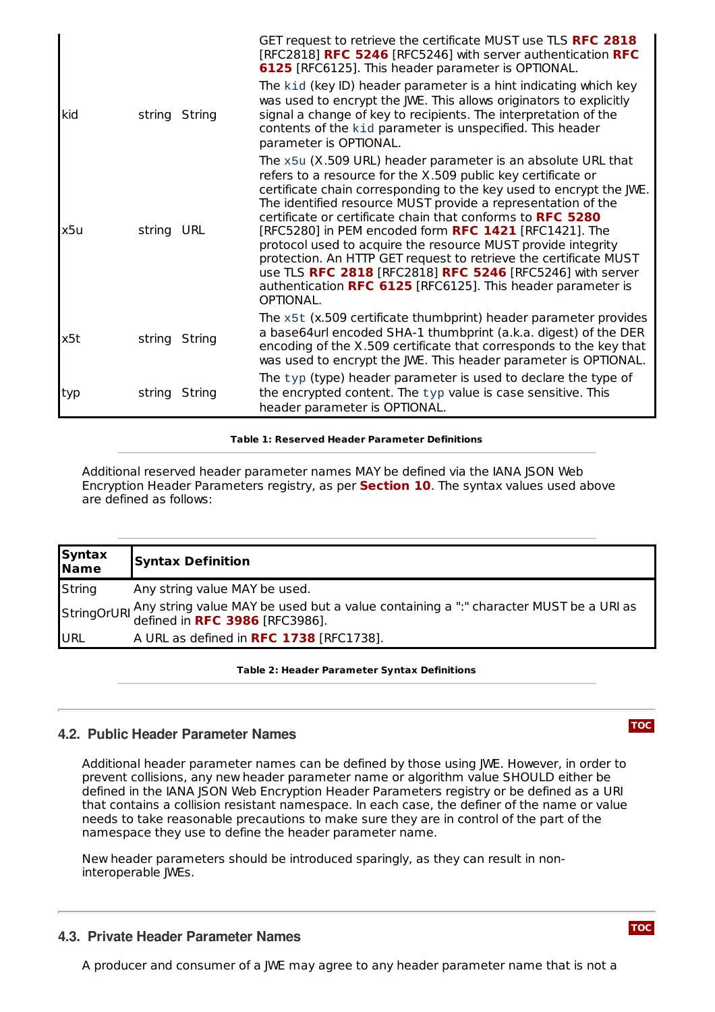|     |            |               | GET request to retrieve the certificate MUST use TLS RFC 2818<br>[RFC2818] RFC 5246 [RFC5246] with server authentication RFC<br>6125 [RFC6125]. This header parameter is OPTIONAL.<br>The kid (key ID) header parameter is a hint indicating which key                                                                                                                                                                                                                                                                                                                                                                                                                  |
|-----|------------|---------------|-------------------------------------------------------------------------------------------------------------------------------------------------------------------------------------------------------------------------------------------------------------------------------------------------------------------------------------------------------------------------------------------------------------------------------------------------------------------------------------------------------------------------------------------------------------------------------------------------------------------------------------------------------------------------|
| kid |            | string String | was used to encrypt the JWE. This allows originators to explicitly<br>signal a change of key to recipients. The interpretation of the<br>contents of the kid parameter is unspecified. This header<br>parameter is OPTIONAL.                                                                                                                                                                                                                                                                                                                                                                                                                                            |
| x5u | string URL |               | The x5u (X.509 URL) header parameter is an absolute URL that<br>refers to a resource for the X.509 public key certificate or<br>certificate chain corresponding to the key used to encrypt the JWE.<br>The identified resource MUST provide a representation of the<br>certificate or certificate chain that conforms to RFC 5280<br>[RFC5280] in PEM encoded form RFC 1421 [RFC1421]. The<br>protocol used to acquire the resource MUST provide integrity<br>protection. An HTTP GET request to retrieve the certificate MUST<br>use TLS RFC 2818 [RFC2818] RFC 5246 [RFC5246] with server<br>authentication RFC 6125 [RFC6125]. This header parameter is<br>OPTIONAL. |
| x5t |            | string String | The x5t (x.509 certificate thumbprint) header parameter provides<br>a base64url encoded SHA-1 thumbprint (a.k.a. digest) of the DER<br>encoding of the X.509 certificate that corresponds to the key that<br>was used to encrypt the JWE. This header parameter is OPTIONAL.                                                                                                                                                                                                                                                                                                                                                                                            |
| typ |            | string String | The typ (type) header parameter is used to declare the type of<br>the encrypted content. The typ value is case sensitive. This<br>header parameter is OPTIONAL.                                                                                                                                                                                                                                                                                                                                                                                                                                                                                                         |

**Table 1: Reserved Header Parameter Definitions**

Additional reserved header parameter names MAY be defined via the IANA JSON Web Encryption Header Parameters registry, as per **[Section](#page-6-3) 10**. The syntax values used above are defined as follows:

| <b>Syntax</b><br>Name | <b>Syntax Definition</b>                                                                                                                           |
|-----------------------|----------------------------------------------------------------------------------------------------------------------------------------------------|
| <b>String</b>         | Any string value MAY be used.                                                                                                                      |
|                       | StringOrURI Any string value MAY be used but a value containing a ":" character MUST be a URI as StringOrURI defined in <b>RFC 3986</b> [RFC3986]. |
| URL                   | A URL as defined in RFC 1738 [RFC1738].                                                                                                            |

#### **Table 2: Header Parameter Syntax Definitions**

#### <span id="page-4-0"></span>**4.2. Public Header Parameter Names**

Additional header parameter names can be defined by those using JWE. However, in order to prevent collisions, any new header parameter name or algorithm value SHOULD either be defined in the IANA JSON Web Encryption Header Parameters registry or be defined as a URI that contains a collision resistant namespace. In each case, the definer of the name or value needs to take reasonable precautions to make sure they are in control of the part of the namespace they use to define the header parameter name.

New header parameters should be introduced sparingly, as they can result in noninteroperable JWEs.

#### <span id="page-4-1"></span>**4.3. Private Header Parameter Names**

A producer and consumer of a JWE may agree to any header parameter name that is not a

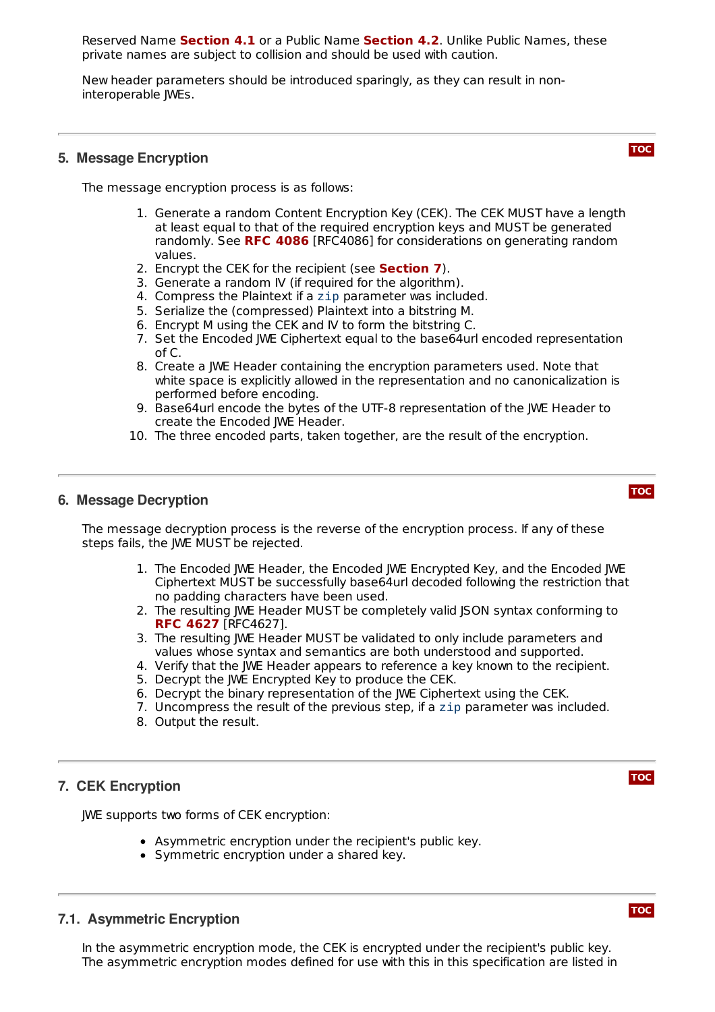**Reserved Name [Section](#page-4-0) 4.1** or a Public Name Section 4.2. Unlike Public Names, these private names are subject to collision and should be used with caution.

New header parameters should be introduced sparingly, as they can result in noninteroperable JWEs.

#### <span id="page-5-0"></span>**5. Message Encryption**

The message encryption process is as follows:

- 1. Generate a random Content Encryption Key (CEK). The CEK MUST have a length at least equal to that of the required encryption keys and MUST be generated randomly. See RFC [4086](#page-8-22) [RFC4086] for considerations on generating random values.
- 2. Encrypt the CEK for the recipient (see **[Section](#page-5-2) 7**).
- 3. Generate a random IV (if required for the algorithm).
- 4. Compress the Plaintext if a zip parameter was included.
- 5. Serialize the (compressed) Plaintext into a bitstring M.
- 6. Encrypt M using the CEK and IV to form the bitstring C.
- 7. Set the Encoded JWE Ciphertext equal to the base64url encoded representation of C.
- 8. Create a JWE Header containing the encryption parameters used. Note that white space is explicitly allowed in the representation and no canonicalization is performed before encoding.
- 9. Base64url encode the bytes of the UTF-8 representation of the JWE Header to create the Encoded JWE Header.
- 10. The three encoded parts, taken together, are the result of the encryption.

#### <span id="page-5-1"></span>**6. Message Decryption**

The message decryption process is the reverse of the encryption process. If any of these steps fails, the JWE MUST be rejected.

- 1. The Encoded JWE Header, the Encoded JWE Encrypted Key, and the Encoded JWE Ciphertext MUST be successfully base64url decoded following the restriction that no padding characters have been used.
- 2. The resulting JWE Header MUST be completely valid JSON syntax conforming to [RFC4627]. **RFC [4627](#page-8-6)**
- 3. The resulting JWE Header MUST be validated to only include parameters and values whose syntax and semantics are both understood and supported.
- 4. Verify that the JWE Header appears to reference a key known to the recipient.
- 5. Decrypt the JWE Encrypted Key to produce the CEK.
- 6. Decrypt the binary representation of the JWE Ciphertext using the CEK.
- 7. Uncompress the result of the previous step, if a zip parameter was included.
- 8. Output the result.

#### <span id="page-5-2"></span>**7. CEK Encryption**

JWE supports two forms of CEK encryption:

- Asymmetric encryption under the recipient's public key.
- Symmetric encryption under a shared key.

### <span id="page-5-3"></span>**7.1. Asymmetric Encryption**

In the asymmetric encryption mode, the CEK is encrypted under the recipient's public key. The asymmetric encryption modes defined for use with this in this specification are listed in





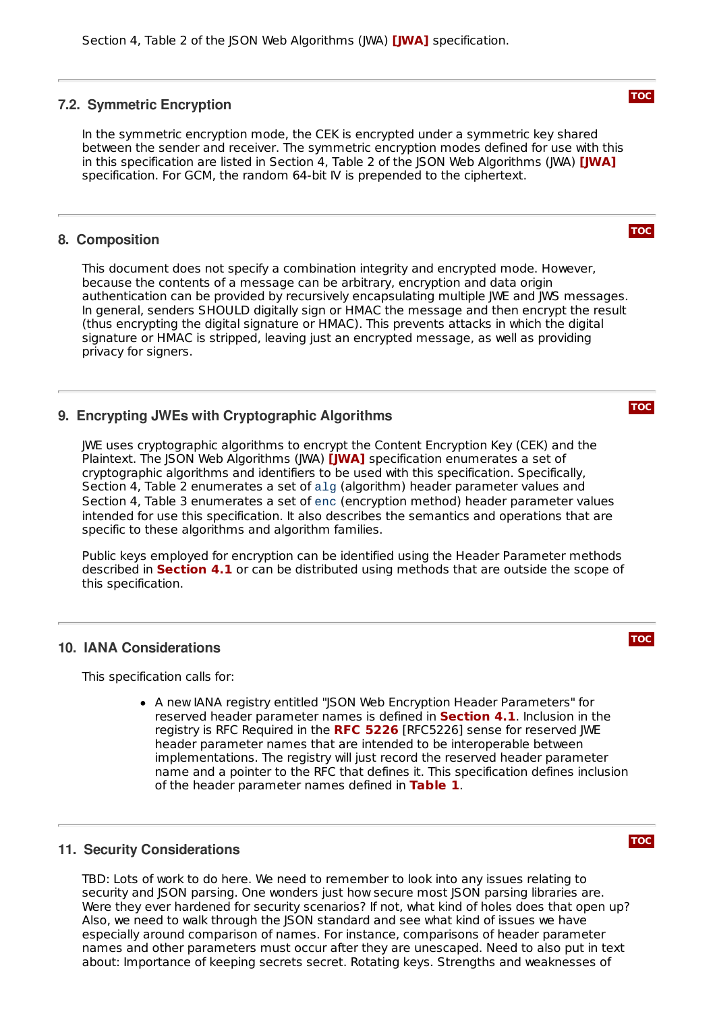#### <span id="page-6-0"></span>**7.2. Symmetric Encryption**

In the symmetric encryption mode, the CEK is encrypted under a symmetric key shared between the sender and receiver. The symmetric encryption modes defined for use with this in this specification are listed in Section 4, Table 2 of the JSON Web Algorithms (JWA) **[\[JWA\]](#page-8-7)** specification. For GCM, the random 64-bit IV is prepended to the ciphertext.

#### <span id="page-6-1"></span>**8. Composition**

This document does not specify a combination integrity and encrypted mode. However, because the contents of a message can be arbitrary, encryption and data origin authentication can be provided by recursively encapsulating multiple JWE and JWS messages. In general, senders SHOULD digitally sign or HMAC the message and then encrypt the result (thus encrypting the digital signature or HMAC). This prevents attacks in which the digital signature or HMAC is stripped, leaving just an encrypted message, as well as providing privacy for signers.

#### <span id="page-6-2"></span>**9. Encrypting JWEs with Cryptographic Algorithms**

JWE uses cryptographic algorithms to encrypt the Content Encryption Key (CEK) and the Plaintext. The JSON Web Algorithms (JWA) **[\[JWA\]](#page-8-7)** specification enumerates a set of cryptographic algorithms and identifiers to be used with this specification. Specifically, Section 4, Table 2 enumerates a set of alg (algorithm) header parameter values and Section 4, Table 3 enumerates a set of enc (encryption method) header parameter values intended for use this specification. It also describes the semantics and operations that are specific to these algorithms and algorithm families.

Public keys employed for encryption can be identified using the Header Parameter methods described in **[Section](#page-3-0) 4.1** or can be distributed using methods that are outside the scope of this specification.

#### <span id="page-6-3"></span>**10. IANA Considerations**

This specification calls for:

A new IANA registry entitled "JSON Web Encryption Header Parameters" for reserved header parameter names is defined in **[Section](#page-3-0) 4.1**. Inclusion in the registry is RFC Required in the [RFC5226] sense for reserved JWE **RFC [5226](#page-8-23)** header parameter names that are intended to be interoperable between implementations. The registry will just record the reserved header parameter name and a pointer to the RFC that defines it. This specification defines inclusion of the header parameter names defined in [Table](#page-3-1) 1.

#### <span id="page-6-4"></span>**11. Security Considerations**

TBD: Lots of work to do here. We need to remember to look into any issues relating to security and JSON parsing. One wonders just how secure most JSON parsing libraries are. Were they ever hardened for security scenarios? If not, what kind of holes does that open up? Also, we need to walk through the JSON standard and see what kind of issues we have especially around comparison of names. For instance, comparisons of header parameter names and other parameters must occur after they are unescaped. Need to also put in text about: Importance of keeping secrets secret. Rotating keys. Strengths and weaknesses of

**[TOC](#page-0-0)**

#### **[TOC](#page-0-0)**

**[TOC](#page-0-0)**

**[TOC](#page-0-0)**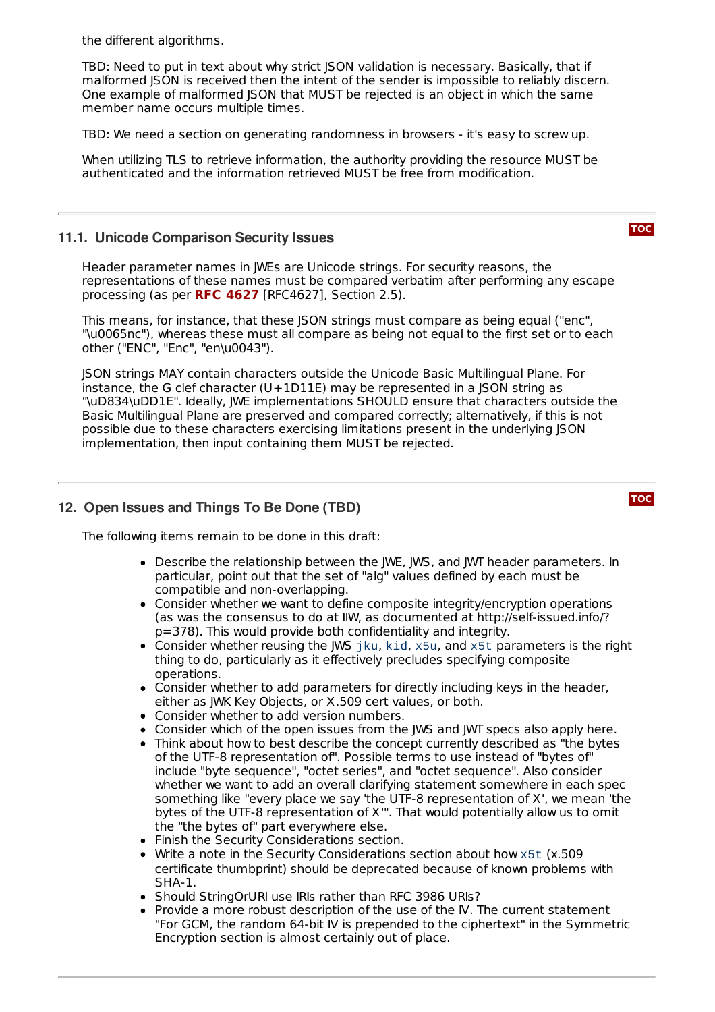the different algorithms.

TBD: Need to put in text about why strict (SON validation is necessary. Basically, that if malformed JSON is received then the intent of the sender is impossible to reliably discern. One example of malformed JSON that MUST be rejected is an object in which the same member name occurs multiple times.

TBD: We need a section on generating randomness in browsers - it's easy to screw up.

When utilizing TLS to retrieve information, the authority providing the resource MUST be authenticated and the information retrieved MUST be free from modification.

#### <span id="page-7-0"></span>**11.1. Unicode Comparison Security Issues**

**[TOC](#page-0-0)**

Header parameter names in JWEs are Unicode strings. For security reasons, the representations of these names must be compared verbatim after performing any escape processing (as per [RFC4627], Section 2.5). **RFC [4627](#page-8-6)**

This means, for instance, that these JSON strings must compare as being equal ("enc", "\u0065nc"), whereas these must all compare as being not equal to the first set or to each other ("ENC", "Enc", "en\u0043").

JSON strings MAY contain characters outside the Unicode Basic Multilingual Plane. For instance, the G clef character  $(U+1D11E)$  may be represented in a JSON string as "\uD834\uDD1E". Ideally, JWE implementations SHOULD ensure that characters outside the Basic Multilingual Plane are preserved and compared correctly; alternatively, if this is not possible due to these characters exercising limitations present in the underlying JSON implementation, then input containing them MUST be rejected.

#### <span id="page-7-1"></span>**12. Open Issues and Things To Be Done (TBD)**

The following items remain to be done in this draft:

- Describe the relationship between the JWE, JWS, and JWT header parameters. In particular, point out that the set of "alg" values defined by each must be compatible and non-overlapping.
- Consider whether we want to define composite integrity/encryption operations (as was the consensus to do at IIW, as documented at http://self-issued.info/? p=378). This would provide both confidentiality and integrity.
- Consider whether reusing the JWS jku, kid, x5u, and x5t parameters is the right thing to do, particularly as it effectively precludes specifying composite operations.
- Consider whether to add parameters for directly including keys in the header, either as JWK Key Objects, or X.509 cert values, or both.
- Consider whether to add version numbers.
- Consider which of the open issues from the JWS and JWT specs also apply here.
- Think about how to best describe the concept currently described as "the bytes of the UTF-8 representation of". Possible terms to use instead of "bytes of" include "byte sequence", "octet series", and "octet sequence". Also consider whether we want to add an overall clarifying statement somewhere in each spec something like "every place we say 'the UTF-8 representation of X', we mean 'the bytes of the UTF-8 representation of X'". That would potentially allow us to omit the "the bytes of" part everywhere else.
- Finish the Security Considerations section.
- Write a note in the Security Considerations section about how x5t (x.509 certificate thumbprint) should be deprecated because of known problems with SHA-1.
- Should StringOrURI use IRIs rather than RFC 3986 URIs?
- Provide a more robust description of the use of the IV. The current statement "For GCM, the random 64-bit IV is prepended to the ciphertext" in the Symmetric Encryption section is almost certainly out of place.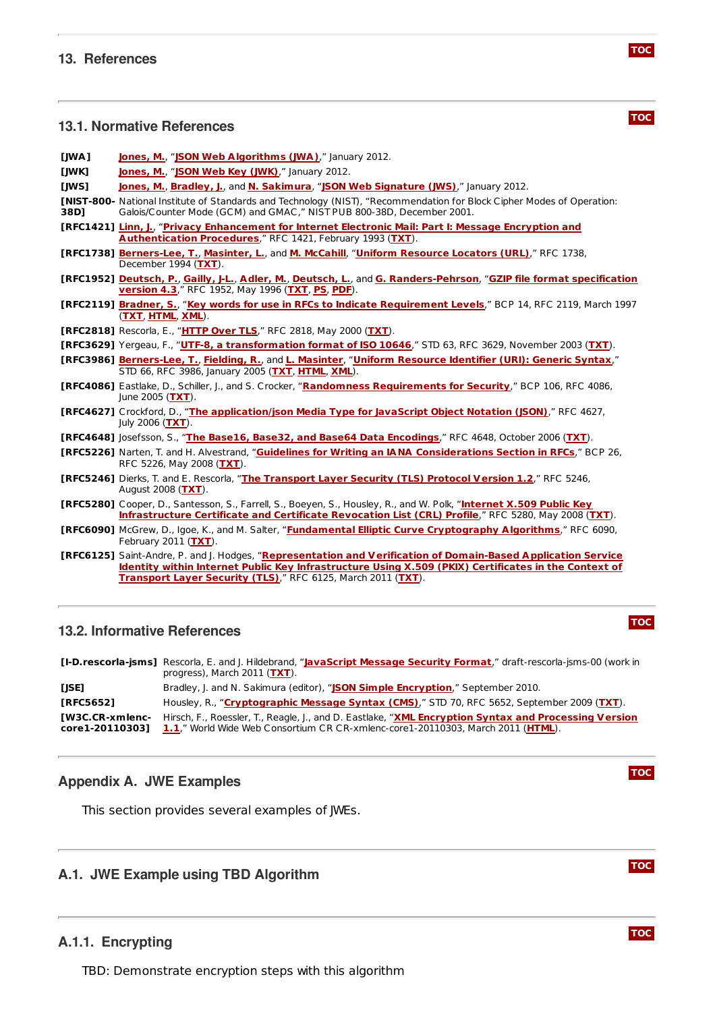#### <span id="page-8-1"></span>**13.1. Normative References**

- <span id="page-8-7"></span>**[JWA] [Jones,](mailto:mbj@microsoft.com) M.**, "**JSON Web [Algorithms](http://tools.ietf.org/html/draft-ietf-jose-json-web-algorithms) (JWA)**," January 2012.
- <span id="page-8-13"></span>**[JWK] [Jones,](mailto:mbj@microsoft.com) M.**, "**JSON Web Key [\(JWK\)](http://tools.ietf.org/html/draft-ietf-jose-json-web-key)**," January 2012.
- <span id="page-8-8"></span>**[JWS] [Jones,](mailto:mbj@microsoft.com) M.**, **[Bradley,](mailto:ve7jtb@ve7jtb.com) J.**, and **N. [Sakimura](mailto:n-sakimura@nri.co.jp)**, "**JSON Web [Signature](http://tools.ietf.org/html/draft-ietf-jose-json-web-signature) (JWS)**," January 2012.
- <span id="page-8-11"></span>**[NIST-800-** National Institute of Standards and Technology (NIST), "Recommendation for Block Cipher Modes of Operation: **38D]** Galois/Counter Mode (GCM) and GMAC," NIST PUB 800-38D, December 2001.
- <span id="page-8-19"></span>**[RFC1421] [Linn,](mailto:104-8456@mcimail.com) J.**, "**Privacy [Enhancement](http://tools.ietf.org/html/rfc1421) for Internet Electronic Mail: Part I: Message Encryption and Authentication Procedures**," RFC 1421, February 1993 (**[TXT](http://www.rfc-editor.org/rfc/rfc1421.txt)**).
- <span id="page-8-21"></span>**[RFC1738] [Berners-Lee,](mailto:timbl@info.cern.ch) T.**, **[Masinter,](mailto:masinter@parc.xerox.com) L.**, and **M. [McCahill](mailto:mpm@boombox.micro.umn.edu)**, "**Uniform [Resource](http://tools.ietf.org/html/rfc1738) Locators (URL)**," RFC 1738, December 1994 (**[TXT](http://www.rfc-editor.org/rfc/rfc1738.txt)**).
- <span id="page-8-14"></span>**[RFC1952] [Deutsch,](mailto:ghost@aladdin.com) P.**, **[Gailly,](mailto:gzip@prep.ai.mit.edu) J-L.**, **[Adler,](mailto:madler@alumni.caltech.edu) M.**, **[Deutsch,](mailto:ghost@aladdin.com) L.**, and **G. [Randers-Pehrson](http://tools.ietf.org/html/rfc1952)**, "**GZIP file format specification version 4.3**," RFC 1952, May 1996 (**[TXT](http://www.rfc-editor.org/rfc/rfc1952.txt)**, **[PS](http://www.rfc-editor.org/rfc/rfc1952.ps)**, **[PDF](http://www.rfc-editor.org/rfc/rfc1952.pdf)**).
- <span id="page-8-0"></span>**[RFC2119] [Bradner,](mailto:sob@harvard.edu) S.**, "**Key words for use in RFCs to Indicate [Requirement](http://tools.ietf.org/html/rfc2119) Levels**," BCP 14, RFC 2119, March 1997 (**[TXT](http://www.rfc-editor.org/rfc/rfc2119.txt)**, **[HTML](http://xml.resource.org/public/rfc/html/rfc2119.html)**, **[XML](http://xml.resource.org/public/rfc/xml/rfc2119.xml)**).
- <span id="page-8-15"></span>**[RFC2818]** Rescorla, E., "**[HTTP](http://tools.ietf.org/html/rfc2818) Over TLS**," RFC 2818, May 2000 (**[TXT](http://www.rfc-editor.org/rfc/rfc2818.txt)**).
- <span id="page-8-9"></span>**[RFC3629]** Yergeau, F., "**UTF-8, a [transformation](http://tools.ietf.org/html/rfc3629) format of ISO 10646**," STD 63, RFC 3629, November 2003 (**[TXT](http://www.rfc-editor.org/rfc/rfc3629.txt)**).
- <span id="page-8-20"></span>**[RFC3986] [Berners-Lee,](mailto:timbl@w3.org) T.**, **[Fielding,](mailto:fielding@gbiv.com) R.**, and **L. [Masinter](mailto:LMM@acm.org)**, "**Uniform [Resource](http://tools.ietf.org/html/rfc3986) Identifier (URI): Generic Syntax**," STD 66, RFC 3986, January 2005 (**[TXT](http://www.rfc-editor.org/rfc/rfc3986.txt)**, **[HTML](http://xml.resource.org/public/rfc/html/rfc3986.html)**, **[XML](http://xml.resource.org/public/rfc/xml/rfc3986.xml)**).
- <span id="page-8-22"></span>**[RFC4086]** Eastlake, D., Schiller, J., and S. Crocker, "**Randomness [Requirements](http://tools.ietf.org/html/rfc4086) for Security**," BCP 106, RFC 4086, June 2005 (**[TXT](http://www.rfc-editor.org/rfc/rfc4086.txt)**).
- <span id="page-8-6"></span>**[RFC4627]** Crockford, D., "**The [application/json](http://tools.ietf.org/html/rfc4627) Media Type for JavaScript Object Notation (JSON)**," RFC 4627, July 2006 (**[TXT](http://www.rfc-editor.org/rfc/rfc4627.txt)**).
- <span id="page-8-10"></span>**[RFC4648]** Josefsson, S., "**The Base16, Base32, and Base64 Data [Encodings](http://tools.ietf.org/html/rfc4648)**," RFC 4648, October 2006 (**[TXT](http://www.rfc-editor.org/rfc/rfc4648.txt)**).
- <span id="page-8-23"></span>**[RFC5226]** Narten, T. and H. Alvestrand, "**Guidelines for Writing an IANA [Considerations](http://tools.ietf.org/html/rfc5226) Section in RFCs**," BCP 26, RFC 5226, May 2008 (**[TXT](http://www.rfc-editor.org/rfc/rfc5226.txt)**).
- <span id="page-8-16"></span>**[RFC5246]** Dierks, T. and E. Rescorla, "**The [Transport](http://tools.ietf.org/html/rfc5246) Layer Security (TLS) Protocol Version 1.2**," RFC 5246, August 2008 (**[TXT](http://www.rfc-editor.org/rfc/rfc5246.txt)**).
- <span id="page-8-18"></span>**[RFC5280]** Cooper, D., Santesson, S., Farrell, S., Boeyen, S., Housley, R., and W. Polk, "**Internet X.509 Public Key [Infrastructure](http://tools.ietf.org/html/rfc5280) Certificate and Certificate Revocation List (CRL) Profile**," RFC 5280, May 2008 (**[TXT](http://www.rfc-editor.org/rfc/rfc5280.txt)**).
- <span id="page-8-12"></span>**[RFC6090]** McGrew, D., Igoe, K., and M. Salter, "**Fundamental Elliptic Curve [Cryptography](http://tools.ietf.org/html/rfc6090) Algorithms**," RFC 6090, February 2011 (**[TXT](http://www.rfc-editor.org/rfc/rfc6090.txt)**).
- <span id="page-8-17"></span><span id="page-8-2"></span>**[RFC6125]** Saint-Andre, P. and J. Hodges, "**[Representation](http://tools.ietf.org/html/rfc6125) and Verification of Domain-Based Application Service Identity within Internet Public Key Infrastructure Using X.509 (PKIX) Certificates in the Context of Transport Layer Security (TLS)**," RFC 6125, March 2011 (**[TXT](http://www.rfc-editor.org/rfc/rfc6125.txt)**).

#### **13.2. Informative References**

<span id="page-8-25"></span>**[I-D.rescorla-jsms]** Rescorla, E. and J. Hildebrand, "**[JavaScript](http://tools.ietf.org/html/draft-rescorla-jsms-00) Message Security Format**," draft-rescorla-jsms-00 (work in progress), March 2011 (**[TXT](http://www.ietf.org/internet-drafts/draft-rescorla-jsms-00.txt)**).

<span id="page-8-27"></span><span id="page-8-26"></span><span id="page-8-24"></span>**[JSE]** Bradley, J. and N. Sakimura (editor), "**JSON Simple [Encryption](http://jsonenc.info/enc/1.0/)**," September 2010. **[RFC5652]** Housley, R., "**[Cryptographic](http://tools.ietf.org/html/rfc5652) Message Syntax (CMS)**," STD 70, RFC 5652, September 2009 (**[TXT](http://www.rfc-editor.org/rfc/rfc5652.txt)**). **[W3C.CR-xmlenc-**Hirsch, F., Roessler, T., Reagle, J., and D. Eastlake, "**XML Encryption Syntax and Processing Version core1-20110303] 1.1**," World Wide Web Consortium CR [CR-xmlenc-core1-20110303,](http://www.w3.org/TR/2011/CR-xmlenc-core1-20110303) March 2011 (**[HTML](http://www.w3.org/TR/2011/CR-xmlenc-core1-20110303)**).

#### <span id="page-8-3"></span>**Appendix A. JWE Examples**

<span id="page-8-4"></span>This section provides several examples of JWEs.

#### <span id="page-8-5"></span>**A.1. JWE Example using TBD Algorithm**

#### **A.1.1. Encrypting**

TBD: Demonstrate encryption steps with this algorithm

## **[TOC](#page-0-0)**

**[TOC](#page-0-0)**

**[TOC](#page-0-0)**

**[TOC](#page-0-0)**